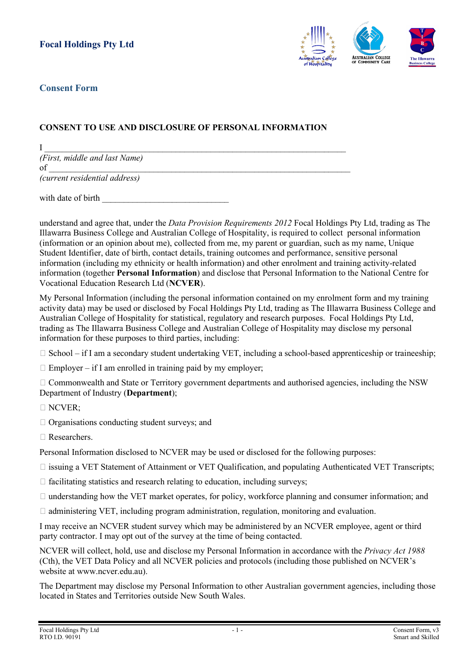

## **Consent Form**

## **CONSENT TO USE AND DISCLOSURE OF PERSONAL INFORMATION**

 ${\rm I}$  , and the set of the set of the set of the set of the set of the set of the set of the set of the set of the set of the set of the set of the set of the set of the set of the set of the set of the set of the set of *(First, middle and last Name)* of \_\_\_\_\_\_\_\_\_\_\_\_\_\_\_\_\_\_\_\_\_\_\_\_\_\_\_\_\_\_\_\_\_\_\_\_\_\_\_\_\_\_\_\_\_\_\_\_\_\_\_\_\_\_\_\_\_\_\_\_\_\_\_\_\_\_\_\_\_

*(current residential address)*

with date of birth

understand and agree that, under the *Data Provision Requirements 2012* Focal Holdings Pty Ltd, trading as The Illawarra Business College and Australian College of Hospitality, is required to collect personal information (information or an opinion about me), collected from me, my parent or guardian, such as my name, Unique Student Identifier, date of birth, contact details, training outcomes and performance, sensitive personal information (including my ethnicity or health information) and other enrolment and training activity-related information (together **Personal Information**) and disclose that Personal Information to the National Centre for Vocational Education Research Ltd (**NCVER**).

My Personal Information (including the personal information contained on my enrolment form and my training activity data) may be used or disclosed by Focal Holdings Pty Ltd, trading as The Illawarra Business College and Australian College of Hospitality for statistical, regulatory and research purposes. Focal Holdings Pty Ltd, trading as The Illawarra Business College and Australian College of Hospitality may disclose my personal information for these purposes to third parties, including:

- $\Box$  School if I am a secondary student undertaking VET, including a school-based apprenticeship or traineeship;
- $\Box$  Employer if I am enrolled in training paid by my employer;

 Commonwealth and State or Territory government departments and authorised agencies, including the NSW Department of Industry (**Department**);

- □ NCVER;
- $\Box$  Organisations conducting student surveys; and
- Researchers.

Personal Information disclosed to NCVER may be used or disclosed for the following purposes:

- $\Box$  issuing a VET Statement of Attainment or VET Qualification, and populating Authenticated VET Transcripts;
- $\Box$  facilitating statistics and research relating to education, including surveys;
- $\Box$  understanding how the VET market operates, for policy, workforce planning and consumer information; and
- $\Box$  administering VET, including program administration, regulation, monitoring and evaluation.

I may receive an NCVER student survey which may be administered by an NCVER employee, agent or third party contractor. I may opt out of the survey at the time of being contacted.

NCVER will collect, hold, use and disclose my Personal Information in accordance with the *Privacy Act 1988* (Cth), the VET Data Policy and all NCVER policies and protocols (including those published on NCVER's website at www.ncver.edu.au).

The Department may disclose my Personal Information to other Australian government agencies, including those located in States and Territories outside New South Wales.